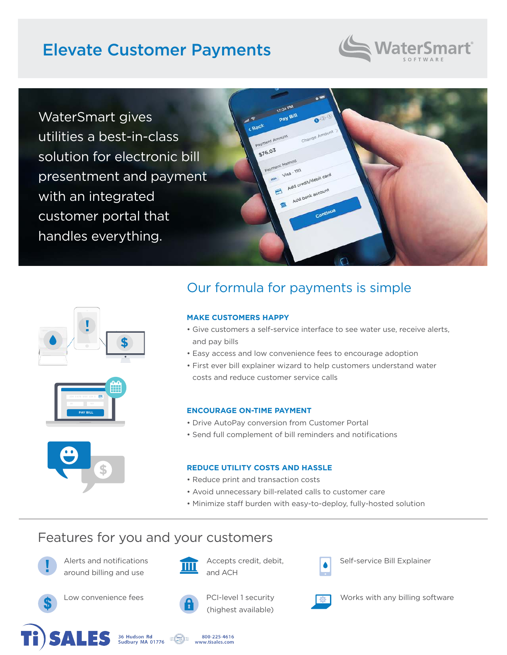# Elevate Customer Payments



WaterSmart gives utilities a best-in-class solution for electronic bill presentment and payment with an integrated customer portal that handles everything.









## Our formula for payments is simple

#### **MAKE CUSTOMERS HAPPY**

- Give customers a self-service interface to see water use, receive alerts, and pay bills
- Easy access and low convenience fees to encourage adoption
- First ever bill explainer wizard to help customers understand water costs and reduce customer service calls

#### **ENCOURAGE ON-TIME PAYMENT**

- Drive AutoPay conversion from Customer Portal
- Send full complement of bill reminders and notifications

#### **REDUCE UTILITY COSTS AND HASSLE**

- Reduce print and transaction costs
- Avoid unnecessary bill-related calls to customer care
- Minimize staff burden with easy-to-deploy, fully-hosted solution

### Features for you and your customers



Alerts and notifications Accepts credit, debit, Self-service Bill Explainer around billing and use **ALLE** and ACH





(highest available)



Low convenience fees **All According PCI-level 1 security** Works with any billing software







800-225-4616 www.tisales.com